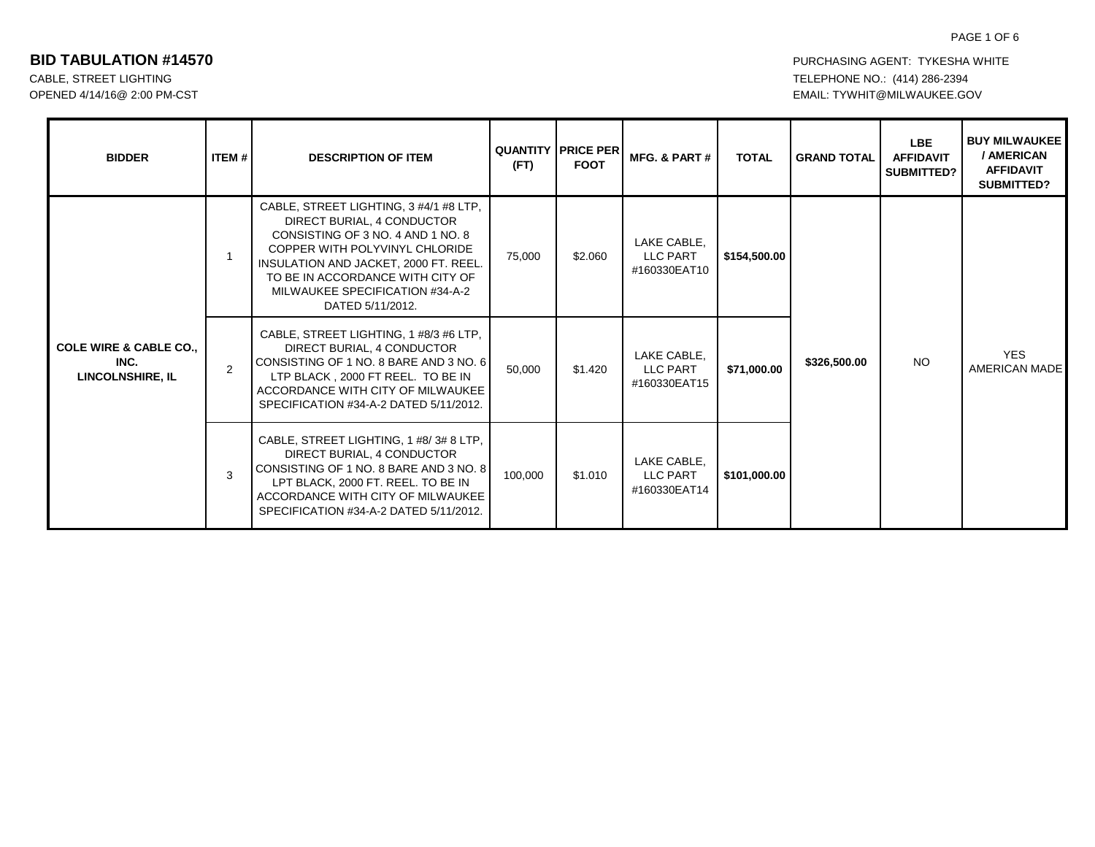# PAGE 1 OF 6

| <b>BIDDER</b>                                                        | ITEM # | <b>DESCRIPTION OF ITEM</b>                                                                                                                                                                                                                                                      | (FT)    | <b>QUANTITY PRICE PER</b><br><b>FOOT</b> | MFG. & PART #                           | <b>TOTAL</b> | <b>GRAND TOTAL</b>              | LBE.<br><b>AFFIDAVIT</b><br>SUBMITTED? | <b>BUY MILWAUKEE</b><br>/ AMERICAN<br><b>AFFIDAVIT</b><br><b>SUBMITTED?</b> |
|----------------------------------------------------------------------|--------|---------------------------------------------------------------------------------------------------------------------------------------------------------------------------------------------------------------------------------------------------------------------------------|---------|------------------------------------------|-----------------------------------------|--------------|---------------------------------|----------------------------------------|-----------------------------------------------------------------------------|
| <b>COLE WIRE &amp; CABLE CO.,</b><br>INC.<br><b>LINCOLNSHIRE, IL</b> |        | CABLE, STREET LIGHTING, 3 #4/1 #8 LTP,<br>DIRECT BURIAL, 4 CONDUCTOR<br>CONSISTING OF 3 NO. 4 AND 1 NO. 8<br>COPPER WITH POLYVINYL CHLORIDE<br>INSULATION AND JACKET, 2000 FT. REEL.<br>TO BE IN ACCORDANCE WITH CITY OF<br>MILWAUKEE SPECIFICATION #34-A-2<br>DATED 5/11/2012. | 75,000  | \$2.060                                  | LAKE CABLE.<br>LLC PART<br>#160330EAT10 | \$154,500.00 |                                 |                                        |                                                                             |
|                                                                      | 2      | CABLE, STREET LIGHTING, 1 #8/3 #6 LTP,<br>DIRECT BURIAL, 4 CONDUCTOR<br>CONSISTING OF 1 NO. 8 BARE AND 3 NO. 6<br>LTP BLACK, 2000 FT REEL. TO BE IN<br>ACCORDANCE WITH CITY OF MILWAUKEE<br>SPECIFICATION #34-A-2 DATED 5/11/2012.                                              | 50,000  | \$1.420                                  | LAKE CABLE,<br>LLC PART<br>#160330EAT15 | \$71,000.00  | NO <sub>1</sub><br>\$326,500.00 |                                        | <b>YES</b><br><b>AMERICAN MADE</b>                                          |
|                                                                      | 3      | CABLE, STREET LIGHTING, 1 #8/3#8 LTP,<br>DIRECT BURIAL, 4 CONDUCTOR<br>CONSISTING OF 1 NO. 8 BARE AND 3 NO. 8<br>LPT BLACK, 2000 FT, REEL, TO BE IN<br>ACCORDANCE WITH CITY OF MILWAUKEE<br>SPECIFICATION #34-A-2 DATED 5/11/2012.                                              | 100,000 | \$1.010                                  | LAKE CABLE,<br>LLC PART<br>#160330EAT14 | \$101,000.00 |                                 |                                        |                                                                             |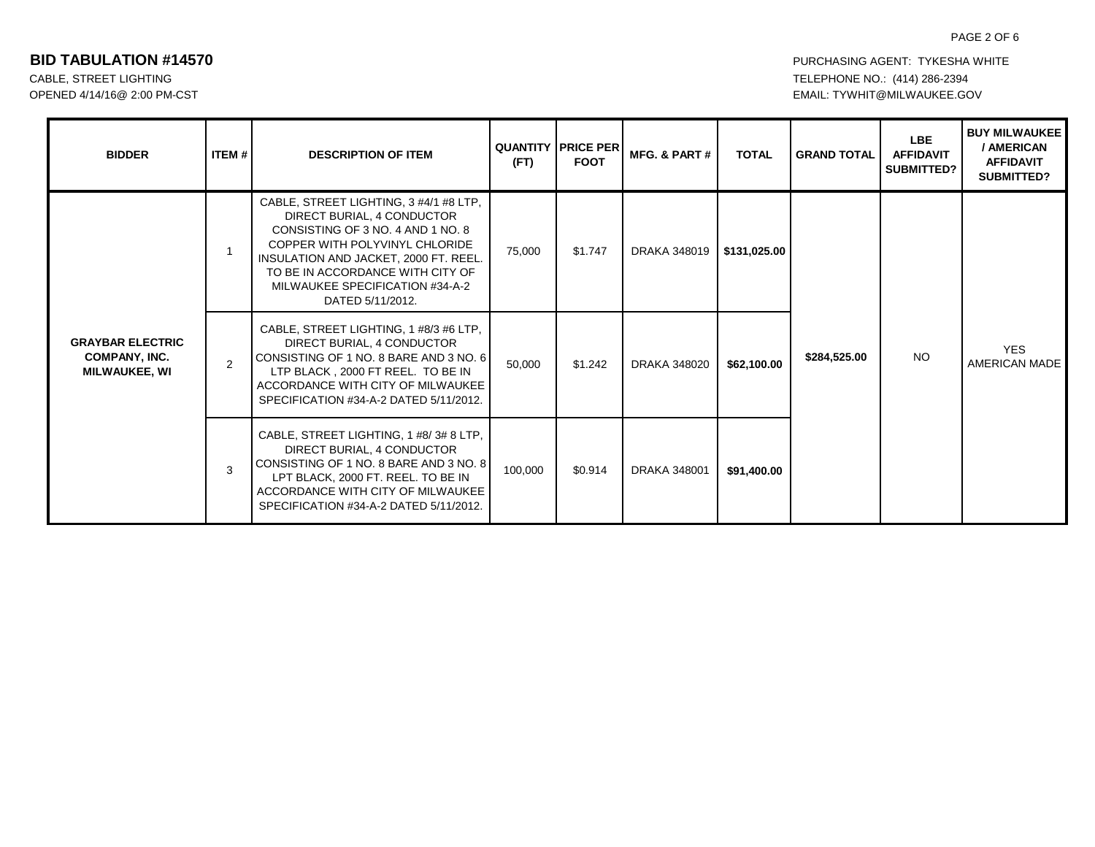### PAGE 2 OF 6

| <b>BIDDER</b>                                                           | <b>ITEM #</b>  | <b>DESCRIPTION OF ITEM</b>                                                                                                                                                                                                                                                      | (FT)    | <b>QUANTITY   PRICE PER</b><br><b>FOOT</b> | MFG. & PART #       | <b>TOTAL</b> | <b>GRAND TOTAL</b> | <b>LBE</b><br><b>AFFIDAVIT</b><br><b>SUBMITTED?</b> | <b>BUY MILWAUKEE</b><br>/ AMERICAN<br><b>AFFIDAVIT</b><br><b>SUBMITTED?</b> |
|-------------------------------------------------------------------------|----------------|---------------------------------------------------------------------------------------------------------------------------------------------------------------------------------------------------------------------------------------------------------------------------------|---------|--------------------------------------------|---------------------|--------------|--------------------|-----------------------------------------------------|-----------------------------------------------------------------------------|
| <b>GRAYBAR ELECTRIC</b><br><b>COMPANY, INC.</b><br><b>MILWAUKEE, WI</b> |                | CABLE, STREET LIGHTING, 3 #4/1 #8 LTP,<br>DIRECT BURIAL, 4 CONDUCTOR<br>CONSISTING OF 3 NO. 4 AND 1 NO. 8<br>COPPER WITH POLYVINYL CHLORIDE<br>INSULATION AND JACKET, 2000 FT. REEL.<br>TO BE IN ACCORDANCE WITH CITY OF<br>MILWAUKEE SPECIFICATION #34-A-2<br>DATED 5/11/2012. | 75,000  | \$1.747                                    | <b>DRAKA 348019</b> | \$131,025.00 | \$284,525.00       | <b>NO</b>                                           | <b>YES</b><br><b>AMERICAN MADE</b>                                          |
|                                                                         | $\overline{2}$ | CABLE, STREET LIGHTING, 1 #8/3 #6 LTP,<br>DIRECT BURIAL, 4 CONDUCTOR<br>CONSISTING OF 1 NO. 8 BARE AND 3 NO. 6<br>LTP BLACK, 2000 FT REEL. TO BE IN<br>ACCORDANCE WITH CITY OF MILWAUKEE<br>SPECIFICATION #34-A-2 DATED 5/11/2012.                                              | 50.000  | \$1.242                                    | <b>DRAKA 348020</b> | \$62,100.00  |                    |                                                     |                                                                             |
|                                                                         | $\mathbf{3}$   | CABLE, STREET LIGHTING, 1 #8/3#8 LTP,<br>DIRECT BURIAL, 4 CONDUCTOR<br>CONSISTING OF 1 NO. 8 BARE AND 3 NO. 8<br>LPT BLACK, 2000 FT. REEL. TO BE IN<br>ACCORDANCE WITH CITY OF MILWAUKEE<br>SPECIFICATION #34-A-2 DATED 5/11/2012.                                              | 100,000 | \$0.914                                    | <b>DRAKA 348001</b> | \$91,400.00  |                    |                                                     |                                                                             |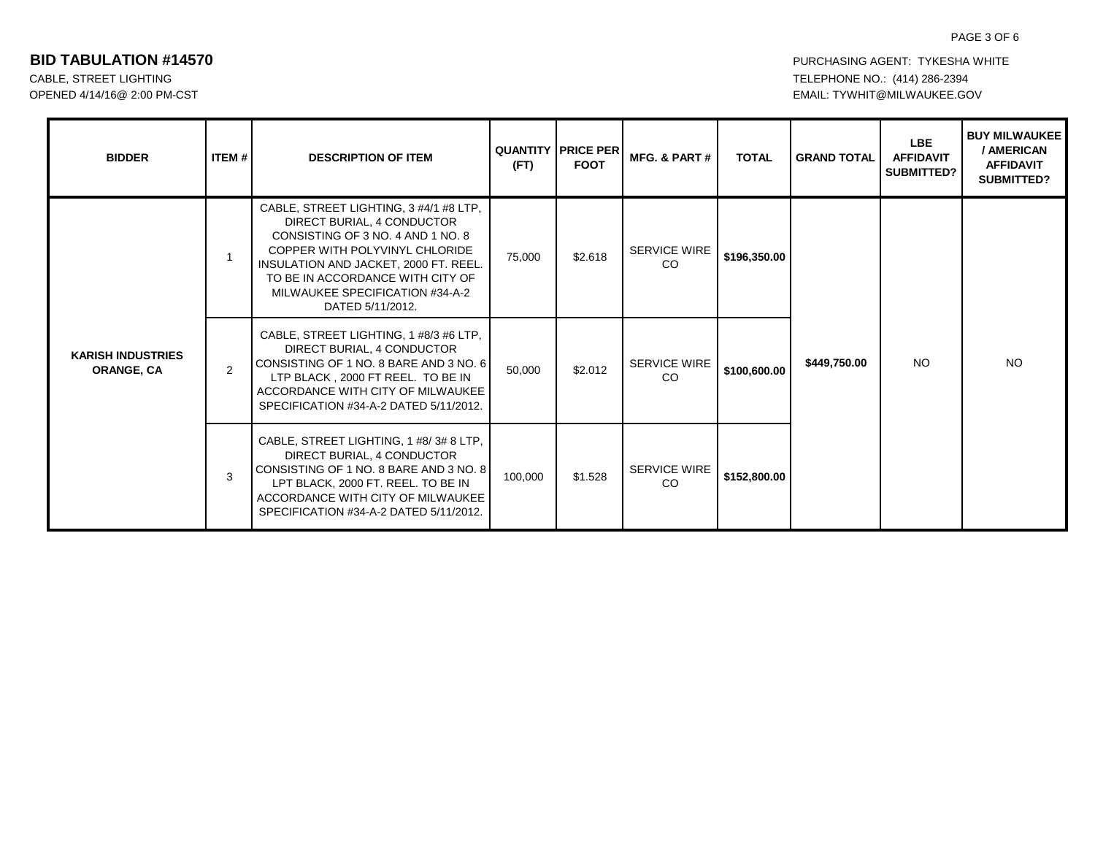## PAGE 3 OF 6

| <b>BIDDER</b>                                 | <b>ITEM#I</b> | <b>DESCRIPTION OF ITEM</b>                                                                                                                                                                                                                                                      | (FT)    | <b>QUANTITY I PRICE PER</b><br><b>FOOT</b> | MFG. & PART #                        | <b>TOTAL</b> | <b>GRAND TOTAL</b> | <b>LBE</b><br><b>AFFIDAVIT</b><br><b>SUBMITTED?</b> | <b>BUY MILWAUKEE</b><br>/ AMERICAN<br><b>AFFIDAVIT</b><br>SUBMITTED? |
|-----------------------------------------------|---------------|---------------------------------------------------------------------------------------------------------------------------------------------------------------------------------------------------------------------------------------------------------------------------------|---------|--------------------------------------------|--------------------------------------|--------------|--------------------|-----------------------------------------------------|----------------------------------------------------------------------|
| <b>KARISH INDUSTRIES</b><br><b>ORANGE, CA</b> | -1            | CABLE, STREET LIGHTING, 3 #4/1 #8 LTP,<br>DIRECT BURIAL, 4 CONDUCTOR<br>CONSISTING OF 3 NO. 4 AND 1 NO. 8<br>COPPER WITH POLYVINYL CHLORIDE<br>INSULATION AND JACKET, 2000 FT. REEL.<br>TO BE IN ACCORDANCE WITH CITY OF<br>MILWAUKEE SPECIFICATION #34-A-2<br>DATED 5/11/2012. | 75,000  | \$2.618                                    | SERVICE WIRE<br>CO                   | \$196,350.00 |                    | NO.                                                 | <b>NO</b>                                                            |
|                                               | 2             | CABLE, STREET LIGHTING, 1 #8/3 #6 LTP,<br>DIRECT BURIAL, 4 CONDUCTOR<br>CONSISTING OF 1 NO. 8 BARE AND 3 NO. 6<br>LTP BLACK, 2000 FT REEL. TO BE IN<br>ACCORDANCE WITH CITY OF MILWAUKEE<br>SPECIFICATION #34-A-2 DATED 5/11/2012.                                              | 50.000  | \$2.012                                    | <b>SERVICE WIRE</b><br><sub>CO</sub> | \$100,600,00 | \$449,750.00       |                                                     |                                                                      |
|                                               | 3             | CABLE, STREET LIGHTING, 1 #8/3#8 LTP,<br>DIRECT BURIAL, 4 CONDUCTOR<br>CONSISTING OF 1 NO. 8 BARE AND 3 NO. 8<br>LPT BLACK, 2000 FT. REEL. TO BE IN<br>ACCORDANCE WITH CITY OF MILWAUKEE<br>SPECIFICATION #34-A-2 DATED 5/11/2012.                                              | 100,000 | \$1.528                                    | <b>SERVICE WIRE</b><br><sub>CO</sub> | \$152,800.00 |                    |                                                     |                                                                      |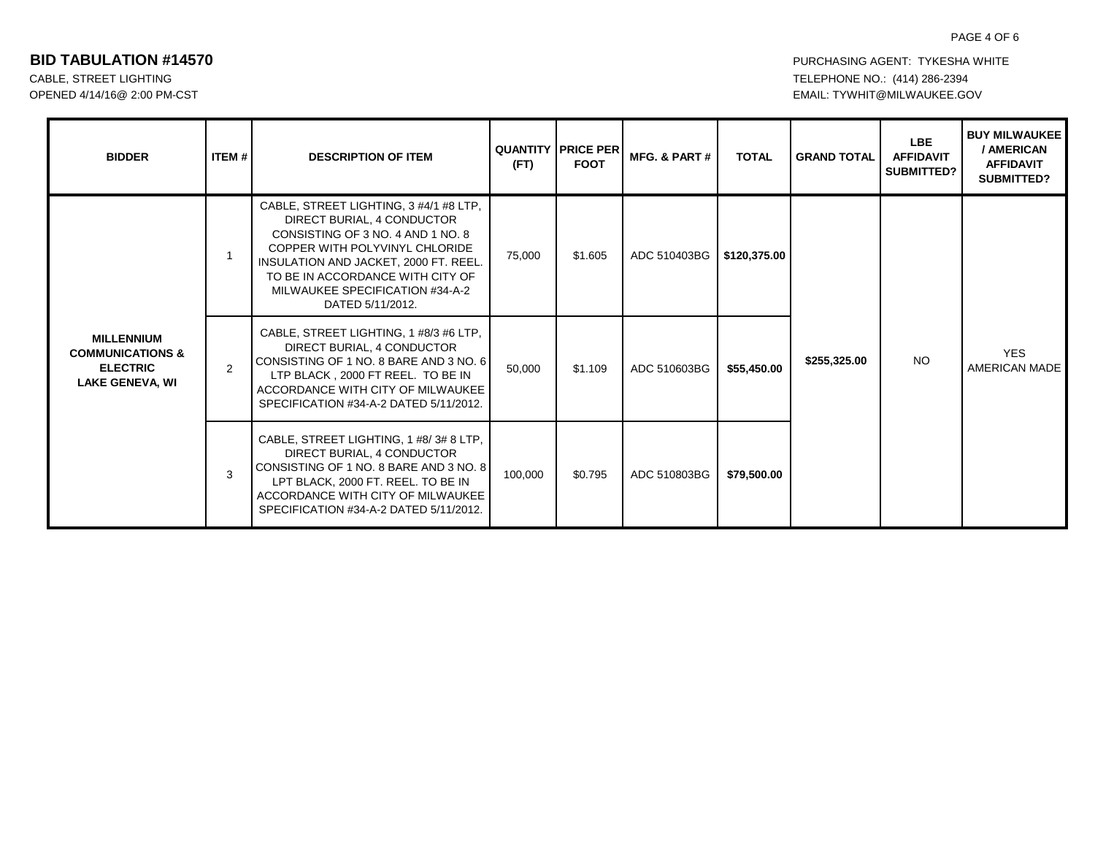# PAGE 4 OF 6

| <b>BIDDER</b>                                                                                 | ITEM# | <b>DESCRIPTION OF ITEM</b>                                                                                                                                                                                                                                                      | (FT)    | <b>QUANTITY PRICE PER</b><br><b>FOOT</b> | MFG. & PART # | <b>TOTAL</b> | <b>GRAND TOTAL</b>        | <b>LBE</b><br><b>AFFIDAVIT</b><br><b>SUBMITTED?</b> | <b>BUY MILWAUKEE</b><br>/ AMERICAN<br><b>AFFIDAVIT</b><br><b>SUBMITTED?</b> |
|-----------------------------------------------------------------------------------------------|-------|---------------------------------------------------------------------------------------------------------------------------------------------------------------------------------------------------------------------------------------------------------------------------------|---------|------------------------------------------|---------------|--------------|---------------------------|-----------------------------------------------------|-----------------------------------------------------------------------------|
| <b>MILLENNIUM</b><br><b>COMMUNICATIONS &amp;</b><br><b>ELECTRIC</b><br><b>LAKE GENEVA, WI</b> | 1     | CABLE, STREET LIGHTING, 3 #4/1 #8 LTP,<br>DIRECT BURIAL, 4 CONDUCTOR<br>CONSISTING OF 3 NO. 4 AND 1 NO. 8<br>COPPER WITH POLYVINYL CHLORIDE<br>INSULATION AND JACKET, 2000 FT, REEL.<br>TO BE IN ACCORDANCE WITH CITY OF<br>MILWAUKEE SPECIFICATION #34-A-2<br>DATED 5/11/2012. | 75,000  | \$1.605                                  | ADC 510403BG  | \$120,375.00 | <b>NO</b><br>\$255,325.00 |                                                     | <b>YES</b><br><b>AMERICAN MADE</b>                                          |
|                                                                                               | 2     | CABLE, STREET LIGHTING, 1 #8/3 #6 LTP,<br>DIRECT BURIAL, 4 CONDUCTOR<br>CONSISTING OF 1 NO. 8 BARE AND 3 NO. 6<br>LTP BLACK, 2000 FT REEL. TO BE IN<br>ACCORDANCE WITH CITY OF MILWAUKEE<br>SPECIFICATION #34-A-2 DATED 5/11/2012.                                              | 50,000  | \$1.109                                  | ADC 510603BG  | \$55,450.00  |                           |                                                     |                                                                             |
|                                                                                               | 3     | CABLE, STREET LIGHTING, 1 #8/3#8 LTP,<br>DIRECT BURIAL, 4 CONDUCTOR<br>CONSISTING OF 1 NO. 8 BARE AND 3 NO. 8<br>LPT BLACK, 2000 FT. REEL. TO BE IN<br>ACCORDANCE WITH CITY OF MILWAUKEE<br>SPECIFICATION #34-A-2 DATED 5/11/2012.                                              | 100,000 | \$0.795                                  | ADC 510803BG  | \$79,500.00  |                           |                                                     |                                                                             |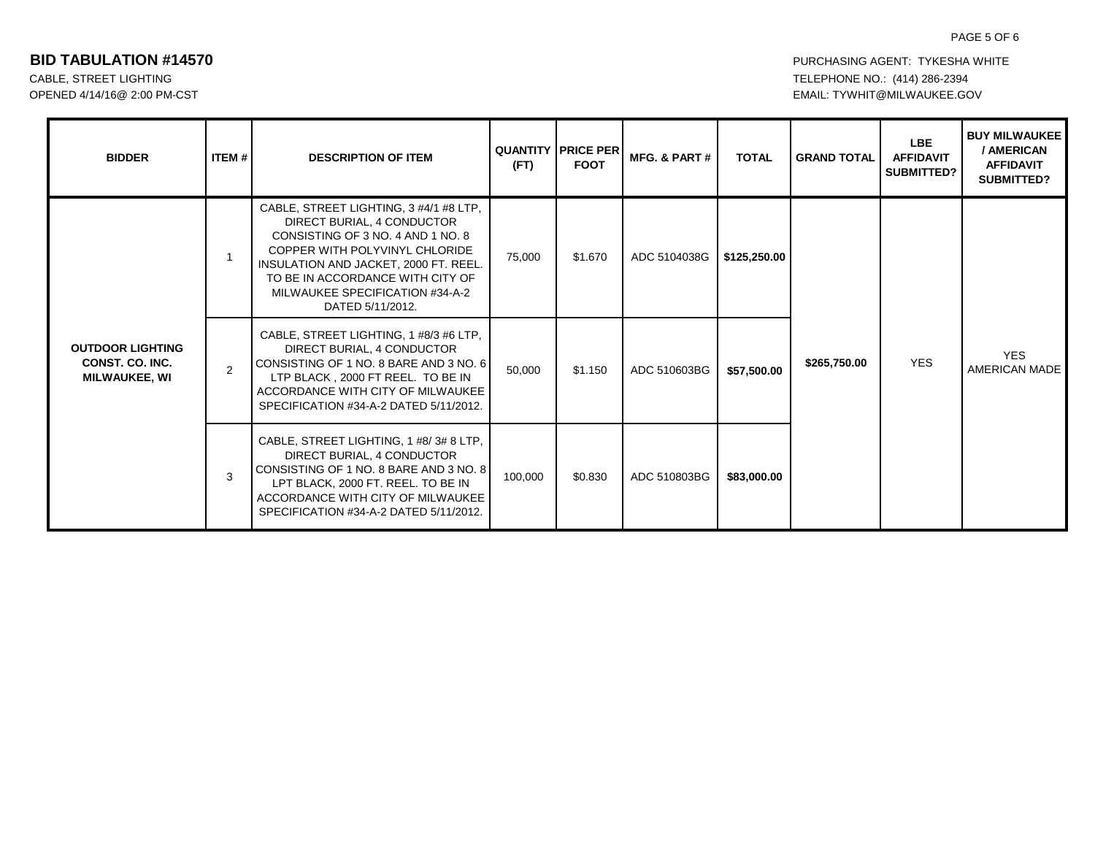# PAGE 5 OF 6

| <b>BIDDER</b>                                                             | ITEM # | <b>DESCRIPTION OF ITEM</b>                                                                                                                                                                                                                                                      | (FT)    | <b>QUANTITY I PRICE PER</b><br><b>FOOT</b> | MFG. & PART # | <b>TOTAL</b> | <b>GRAND TOTAL</b> | <b>LBE</b><br><b>AFFIDAVIT</b><br><b>SUBMITTED?</b> | <b>BUY MILWAUKEE</b><br>/ AMERICAN<br><b>AFFIDAVIT</b><br><b>SUBMITTED?</b> |  |  |
|---------------------------------------------------------------------------|--------|---------------------------------------------------------------------------------------------------------------------------------------------------------------------------------------------------------------------------------------------------------------------------------|---------|--------------------------------------------|---------------|--------------|--------------------|-----------------------------------------------------|-----------------------------------------------------------------------------|--|--|
| <b>OUTDOOR LIGHTING</b><br><b>CONST. CO. INC.</b><br><b>MILWAUKEE, WI</b> |        | CABLE, STREET LIGHTING, 3 #4/1 #8 LTP,<br>DIRECT BURIAL, 4 CONDUCTOR<br>CONSISTING OF 3 NO. 4 AND 1 NO. 8<br>COPPER WITH POLYVINYL CHLORIDE<br>INSULATION AND JACKET, 2000 FT. REEL.<br>TO BE IN ACCORDANCE WITH CITY OF<br>MILWAUKEE SPECIFICATION #34-A-2<br>DATED 5/11/2012. | 75,000  | \$1.670                                    | ADC 5104038G  | \$125,250.00 |                    |                                                     |                                                                             |  |  |
|                                                                           | 2      | CABLE, STREET LIGHTING, 1 #8/3 #6 LTP,<br>DIRECT BURIAL, 4 CONDUCTOR<br>CONSISTING OF 1 NO. 8 BARE AND 3 NO. 6<br>LTP BLACK . 2000 FT REEL. TO BE IN<br>ACCORDANCE WITH CITY OF MILWAUKEE<br>SPECIFICATION #34-A-2 DATED 5/11/2012.                                             | 50,000  | \$1.150                                    | ADC 510603BG  | \$57,500.00  | \$265,750.00       | <b>YES</b>                                          | <b>YES</b><br><b>AMERICAN MADE</b>                                          |  |  |
|                                                                           | 3      | CABLE, STREET LIGHTING, 1 #8/3#8 LTP,<br>DIRECT BURIAL, 4 CONDUCTOR<br>CONSISTING OF 1 NO. 8 BARE AND 3 NO. 8<br>LPT BLACK, 2000 FT. REEL. TO BE IN<br>ACCORDANCE WITH CITY OF MILWAUKEE<br>SPECIFICATION #34-A-2 DATED 5/11/2012.                                              | 100,000 | \$0.830                                    | ADC 510803BG  | \$83,000.00  |                    |                                                     |                                                                             |  |  |